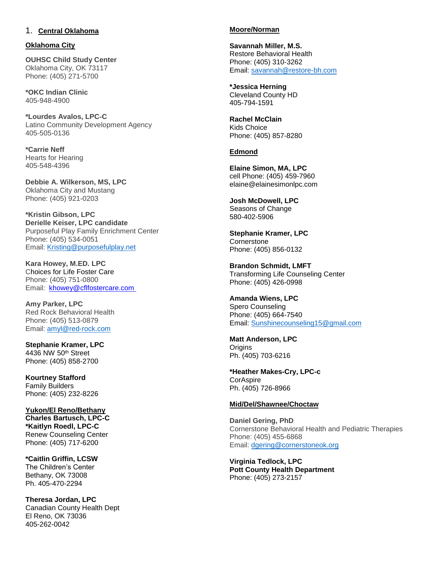# 1. **Central Oklahoma**

### **Oklahoma City**

**OUHSC Child Study Center**  Oklahoma City, OK 73117 Phone: (405) 271-5700

**\*OKC Indian Clinic** 405-948-4900

**\*Lourdes Avalos, LPC-C** Latino Community Development Agency 405-505-0136

**\*Carrie Neff** Hearts for Hearing 405-548-4396

**Debbie A. Wilkerson, MS, LPC**  Oklahoma City and Mustang Phone: (405) 921-0203

**\*Kristin Gibson, LPC Derielle Keiser, LPC candidate** Purposeful Play Family Enrichment Center Phone: (405) 534-0051 Email: [Kristing@purposefulplay.net](mailto:Kristing@purposefulplay.net)

**Kara Howey, M.ED. LPC** Choices for Life Foster Care Phone: (405) 751-0800 Email: [khowey@cflfostercare.com](mailto:khowey@cflfostercare.com)

**Amy Parker, LPC** Red Rock Behavioral Health Phone: (405) 513-0879 Email: [amyl@red-rock.com](mailto:amyl@red-rock.com)

**Stephanie Kramer, LPC** 4436 NW 50th Street Phone: (405) 858-2700

**Kourtney Stafford**  Family Builders Phone: (405) 232-8226

**Yukon/El Reno/Bethany Charles Bartusch, LPC-C \*Kaitlyn Roedl, LPC-C** Renew Counseling Center Phone: (405) 717-6200

**\*Caitlin Griffin, LCSW** The Children's Center Bethany, OK 73008 Ph. 405-470-2294

**Theresa Jordan, LPC** Canadian County Health Dept El Reno, OK 73036 405-262-0042

#### **Moore/Norman**

**Savannah Miller, M.S.**  Restore Behavioral Health Phone: (405) 310-3262 Email: [savannah@restore-bh.com](mailto:savannah@restore-bh.com)

**\*Jessica Herning** Cleveland County HD 405-794-1591

**Rachel McClain**  Kids Choice Phone: (405) 857-8280

## **Edmond**

**Elaine Simon, MA, LPC**  cell Phone: (405) 459-7960 elaine@elainesimonlpc.com

**Josh McDowell, LPC**  Seasons of Change 580-402-5906

**Stephanie Kramer, LPC Cornerstone** Phone: (405) 856-0132

**Brandon Schmidt, LMFT**  Transforming Life Counseling Center Phone: (405) 426-0998

**Amanda Wiens, LPC**  Spero Counseling Phone: (405) 664-7540 Email: Sunshinecounseling15@gmail.com

**Matt Anderson, LPC Origins** Ph. (4[05\) 703-6216](mailto:Sunshinecounseling15@gmail.com)

**\*Heather Makes-Cry, LPC-c CorAspire** Ph. (405) 726-8966

#### **Mid/Del/Shawnee/Choctaw**

**Daniel Gering, PhD**  Cornerstone Behavioral Health and Pediatric Therapies Phone: (405) 455-6868 Email: dgering@cornerstoneok.org

**Virginia Tedlock, LPC Pott County Health Department**  Phone: (405) 273-2157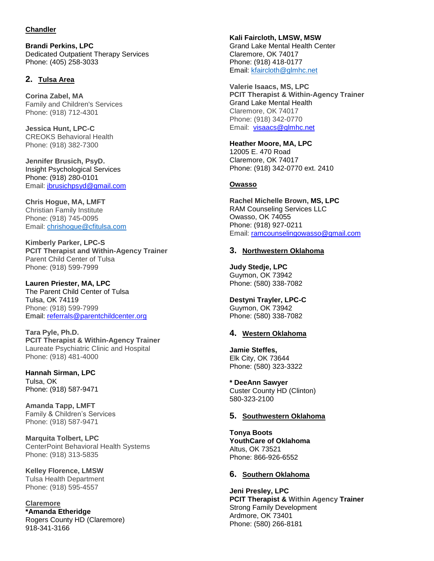## **Chandler**

**Brandi Perkins, LPC** Dedicated Outpatient Therapy Services Phone: (405) 258-3033

# **2. Tulsa Area**

**Corina Zabel, MA** Family and Children's Services Phone: (918) 712-4301

**Jessica Hunt, LPC-C** CREOKS Behavioral Health Phone: (918) 382-7300

**Jennifer Brusich, PsyD.** Insight Psychological Services Phone: (918) 280-0101 Email: [jbrusichpsyd@gmail.com](mailto:jbrusichpsyd@gmail.com)

**Chris Hogue, MA, LMFT** Christian Family Institute Phone: (918) 745-0095 Email: [chrishogue@cfitulsa.com](mailto:chrishogue@cfitulsa.com)

**Kimberly Parker, LPC-S PCIT Therapist and Within-Agency Trainer** Parent Child Center of Tulsa Phone: (918) 599-7999

**Lauren Priester, MA, LPC** The Parent Child Center of Tulsa Tulsa, OK 74119 Phone: (918) 599-7999 Email: [referrals@parentchildcenter.org](mailto:referrals@parentchildcenter.org)

**Tara Pyle, Ph.D. PCIT Therapist & Within-Agency Trainer** Laureate Psychiatric Clinic and Hospital Phone: (918) 481-4000

**Hannah Sirman, LPC** Tulsa, OK Phone: (918) 587-9471

**Amanda Tapp, LMFT** Family & Children's Services Phone: (918) 587-9471

**Marquita Tolbert, LPC**  CenterPoint Behavioral Health Systems Phone: (918) 313-5835

**Kelley Florence, LMSW** Tulsa Health Department Phone: (918) 595-4557

**Claremore \*Amanda Etheridge** Rogers County HD (Claremore) 918-341-3166

**Kali Faircloth, LMSW, MSW** Grand Lake Mental Health Center Claremore, OK 74017 Phone: (918) 418-0177 Email: [kfaircloth@glmhc.net](mailto:kfaircloth@glmhc.net)

**Valerie Isaacs, MS, LPC PCIT Therapist & Within-Agency Trainer** Grand Lake Mental Health Claremore, OK 74017 Phone: (918) 342-0770 Email: [visaacs@glmhc.net](mailto:visaacs@glmhc.net)

**Heather Moore, MA, LPC** 12005 E. 470 Road Claremore, OK 74017 Phone: (918) 342-0770 ext. 2410

## **Owasso**

**Rachel Michelle Brown, MS, LPC** RAM Counseling Services LLC Owasso, OK 74055 Phone: (918) 927-0211 Email: [ramcounselingowasso@gmail.com](mailto:ramcounselingowasso@gmail.com)

## **3. Northwestern Oklahoma**

**Judy Stedje, LPC** Guymon, OK 73942 Phone: (580) 338-7082

**Destyni Trayler, LPC-C** Guymon, OK 73942 Phone: (580) 338-7082

#### **4. Western Oklahoma**

**Jamie Steffes,**  Elk City, OK 73644 Phone: (580) 323-3322

**\* DeeAnn Sawyer** Custer County HD (Clinton) 580-323-2100

#### **5. Southwestern Oklahoma**

**Tonya Boots YouthCare of Oklahoma**  Altus, OK 73521 Phone: 866-926-6552

#### **6. Southern Oklahoma**

**Jeni Presley, LPC PCIT Therapist & Within Agency Trainer** Strong Family Development Ardmore, OK 73401 Phone: (580) 266-8181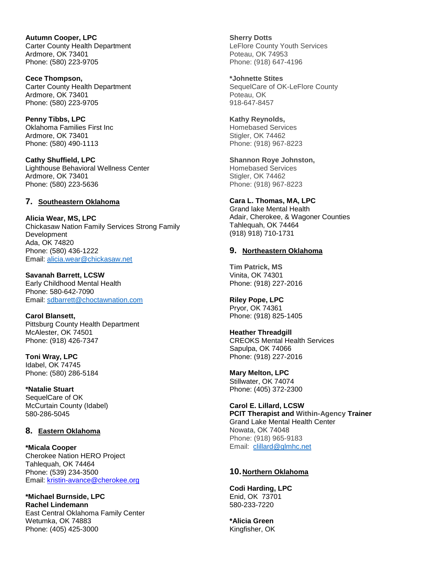**Autumn Cooper, LPC** Carter County Health Department Ardmore, OK 73401 Phone: (580) 223-9705

**Cece Thompson,**  Carter County Health Department Ardmore, OK 73401 Phone: (580) 223-9705

**Penny Tibbs, LPC** Oklahoma Families First Inc Ardmore, OK 73401 Phone: (580) 490-1113

**Cathy Shuffield, LPC** Lighthouse Behavioral Wellness Center Ardmore, OK 73401 Phone: (580) 223-5636

## **7. Southeastern Oklahoma**

**Alicia Wear, MS, LPC** Chickasaw Nation Family Services Strong Family Development Ada, OK 74820 Phone: (580) 436-1222 Email: [alicia.wear@chickasaw.net](mailto:alicia.wear@chickasaw.net)

**Savanah Barrett, LCSW** Early Childhood Mental Health Phone: 580-642-7090 Email: [sdbarrett@choctawnation.com](mailto:sdbarrett@choctawnation.com)

**Carol Blansett,**  Pittsburg County Health Department McAlester, OK 74501 Phone: (918) 426-7347

**Toni Wray, LPC** Idabel, OK 74745 Phone: (580) 286-5184

**\*Natalie Stuart** SequelCare of OK McCurtain County (Idabel) 580-286-5045

#### **8. Eastern Oklahoma**

**\*Micala Cooper** Cherokee Nation HERO Project Tahlequah, OK 74464 Phone: (539) 234-3500 Email: [kristin-avance@cherokee.org](mailto:kristin-avance@cherokee.org)

**\*Michael Burnside, LPC Rachel Lindemann** East Central Oklahoma Family Center Wetumka, OK 74883 Phone: (405) 425-3000

**Sherry Dotts**  LeFlore County Youth Services Poteau, OK 74953 Phone: (918) 647-4196

**\*Johnette Stites** SequelCare of OK-LeFlore County Poteau, OK 918-647-8457

**Kathy Reynolds,**  Homebased Services Stigler, OK 74462 Phone: (918) 967-8223

**Shannon Roye Johnston,**  Homebased Services Stigler, OK 74462 Phone: (918) 967-8223

# **Cara L. Thomas, MA, LPC**

Grand lake Mental Health Adair, Cherokee, & Wagoner Counties Tahlequah, OK 74464 (918) 918) 710-1731

### **9. Northeastern Oklahoma**

**Tim Patrick, MS** Vinita, OK 74301 Phone: (918) 227-2016

**Riley Pope, LPC** Pryor, OK 74361 Phone: (918) 825-1405

**Heather Threadgill** CREOKS Mental Health Services Sapulpa, OK 74066 Phone: (918) 227-2016

**Mary Melton, LPC** Stillwater, OK 74074 Phone: (405) 372-2300

**Carol E. Lillard, LCSW PCIT Therapist and Within-Agency Trainer** Grand Lake Mental Health Center Nowata, OK 74048 Phone: (918) 965-9183 Email: [clillard@glmhc.net](mailto:clillard@glmhc.net)

#### **10.Northern Oklahoma**

**Codi Harding, LPC** Enid, OK 73701 580-233-7220

**\*Alicia Green** Kingfisher, OK